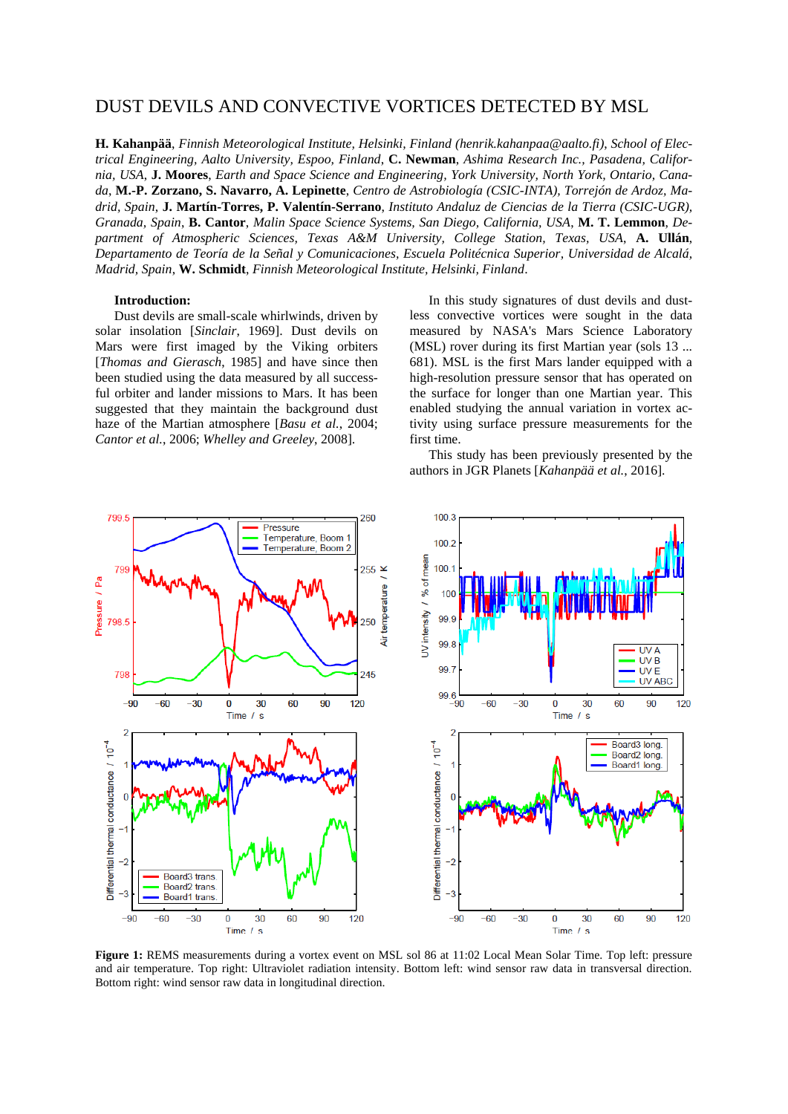# DUST DEVILS AND CONVECTIVE VORTICES DETECTED BY MSL

**H. Kahanpää**, *Finnish Meteorological Institute, Helsinki, Finland (henrik.kahanpaa@aalto.fi)*, *School of Electrical Engineering, Aalto University, Espoo, Finland*, **C. Newman**, *Ashima Research Inc., Pasadena, California, USA*, **J. Moores**, *Earth and Space Science and Engineering, York University, North York, Ontario, Canada*, **M.-P. Zorzano, S. Navarro, A. Lepinette**, *Centro de Astrobiología (CSIC-INTA), Torrejón de Ardoz, Madrid, Spain*, **J. Martín-Torres, P. Valentín-Serrano**, *Instituto Andaluz de Ciencias de la Tierra (CSIC-UGR), Granada, Spain*, **B. Cantor**, *Malin Space Science Systems, San Diego, California, USA*, **M. T. Lemmon**, *Department of Atmospheric Sciences, Texas A&M University, College Station, Texas, USA*, **A. Ullán**, *Departamento de Teoría de la Señal y Comunicaciones, Escuela Politécnica Superior, Universidad de Alcalá, Madrid, Spain*, **W. Schmidt**, *Finnish Meteorological Institute, Helsinki, Finland*.

#### **Introduction:**

Dust devils are small-scale whirlwinds, driven by solar insolation [*Sinclair*, 1969]. Dust devils on Mars were first imaged by the Viking orbiters [*Thomas and Gierasch*, 1985] and have since then been studied using the data measured by all successful orbiter and lander missions to Mars. It has been suggested that they maintain the background dust haze of the Martian atmosphere [*Basu et al.*, 2004; *Cantor et al.*, 2006; *Whelley and Greeley*, 2008].

In this study signatures of dust devils and dustless convective vortices were sought in the data measured by NASA's Mars Science Laboratory (MSL) rover during its first Martian year (sols 13 ... 681). MSL is the first Mars lander equipped with a high-resolution pressure sensor that has operated on the surface for longer than one Martian year. This enabled studying the annual variation in vortex activity using surface pressure measurements for the first time.

This study has been previously presented by the authors in JGR Planets [*Kahanpää et al.*, 2016].



**Figure 1:** REMS measurements during a vortex event on MSL sol 86 at 11:02 Local Mean Solar Time. Top left: pressure and air temperature. Top right: Ultraviolet radiation intensity. Bottom left: wind sensor raw data in transversal direction. Bottom right: wind sensor raw data in longitudinal direction.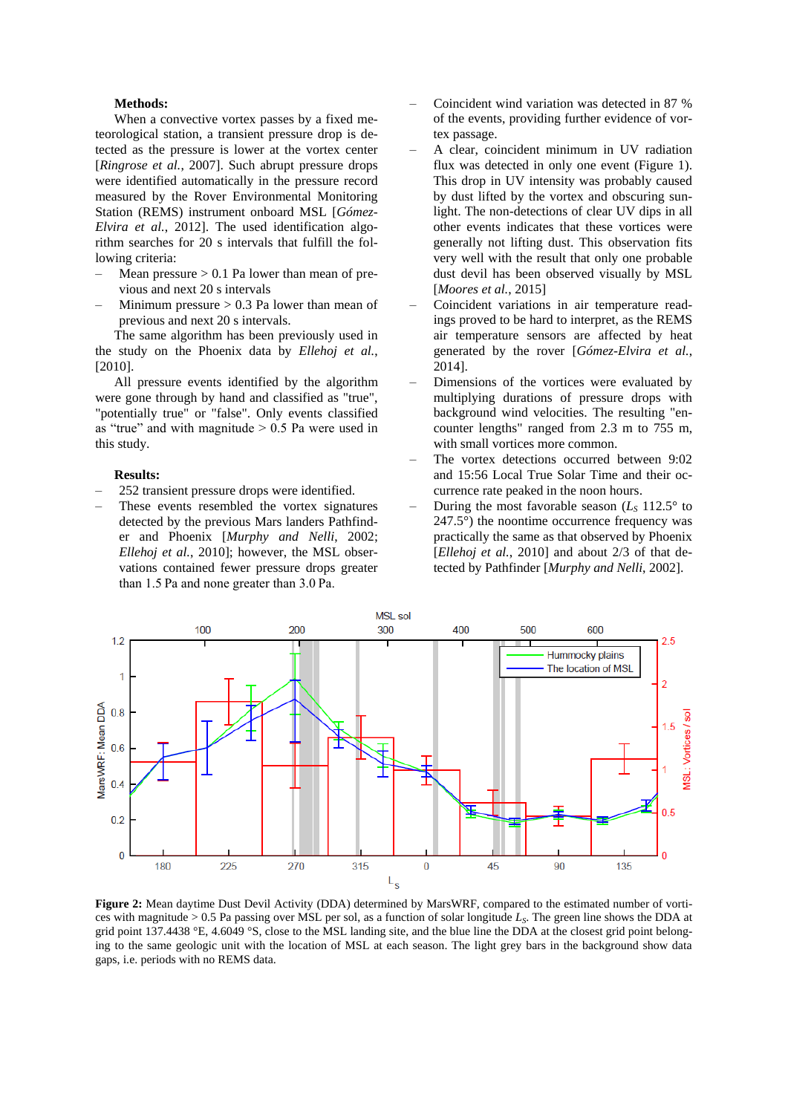### **Methods:**

When a convective vortex passes by a fixed meteorological station, a transient pressure drop is detected as the pressure is lower at the vortex center [*Ringrose et al.*, 2007]. Such abrupt pressure drops were identified automatically in the pressure record measured by the Rover Environmental Monitoring Station (REMS) instrument onboard MSL [*Gómez-Elvira et al.*, 2012]. The used identification algorithm searches for 20 s intervals that fulfill the following criteria:

- Mean pressure  $> 0.1$  Pa lower than mean of previous and next 20 s intervals
- Minimum pressure  $> 0.3$  Pa lower than mean of previous and next 20 s intervals.

The same algorithm has been previously used in the study on the Phoenix data by *Ellehoj et al.*, [2010].

All pressure events identified by the algorithm were gone through by hand and classified as "true", "potentially true" or "false". Only events classified as "true" and with magnitude  $> 0.5$  Pa were used in this study.

#### **Results:**

- ‒ 252 transient pressure drops were identified.
- ‒ These events resembled the vortex signatures detected by the previous Mars landers Pathfinder and Phoenix [*Murphy and Nelli*, 2002; *Ellehoj et al.*, 2010]; however, the MSL observations contained fewer pressure drops greater than 1.5 Pa and none greater than 3.0 Pa.
- ‒ Coincident wind variation was detected in 87 % of the events, providing further evidence of vortex passage.
- ‒ A clear, coincident minimum in UV radiation flux was detected in only one event (Figure 1). This drop in UV intensity was probably caused by dust lifted by the vortex and obscuring sunlight. The non-detections of clear UV dips in all other events indicates that these vortices were generally not lifting dust. This observation fits very well with the result that only one probable dust devil has been observed visually by MSL [*Moores et al.*, 2015]
- ‒ Coincident variations in air temperature readings proved to be hard to interpret, as the REMS air temperature sensors are affected by heat generated by the rover [*Gómez-Elvira et al.*, 2014].
- ‒ Dimensions of the vortices were evaluated by multiplying durations of pressure drops with background wind velocities. The resulting "encounter lengths" ranged from 2.3 m to 755 m, with small vortices more common.
- ‒ The vortex detections occurred between 9:02 and 15:56 Local True Solar Time and their occurrence rate peaked in the noon hours.
- During the most favorable season  $(L<sub>S</sub> 112.5<sup>o</sup>$  to 247.5°) the noontime occurrence frequency was practically the same as that observed by Phoenix [*Ellehoj et al.*, 2010] and about 2/3 of that detected by Pathfinder [*Murphy and Nelli*, 2002].



**Figure 2:** Mean daytime Dust Devil Activity (DDA) determined by MarsWRF, compared to the estimated number of vortices with magnitude > 0.5 Pa passing over MSL per sol, as a function of solar longitude *LS*. The green line shows the DDA at grid point 137.4438 °E, 4.6049 °S, close to the MSL landing site, and the blue line the DDA at the closest grid point belonging to the same geologic unit with the location of MSL at each season. The light grey bars in the background show data gaps, i.e. periods with no REMS data.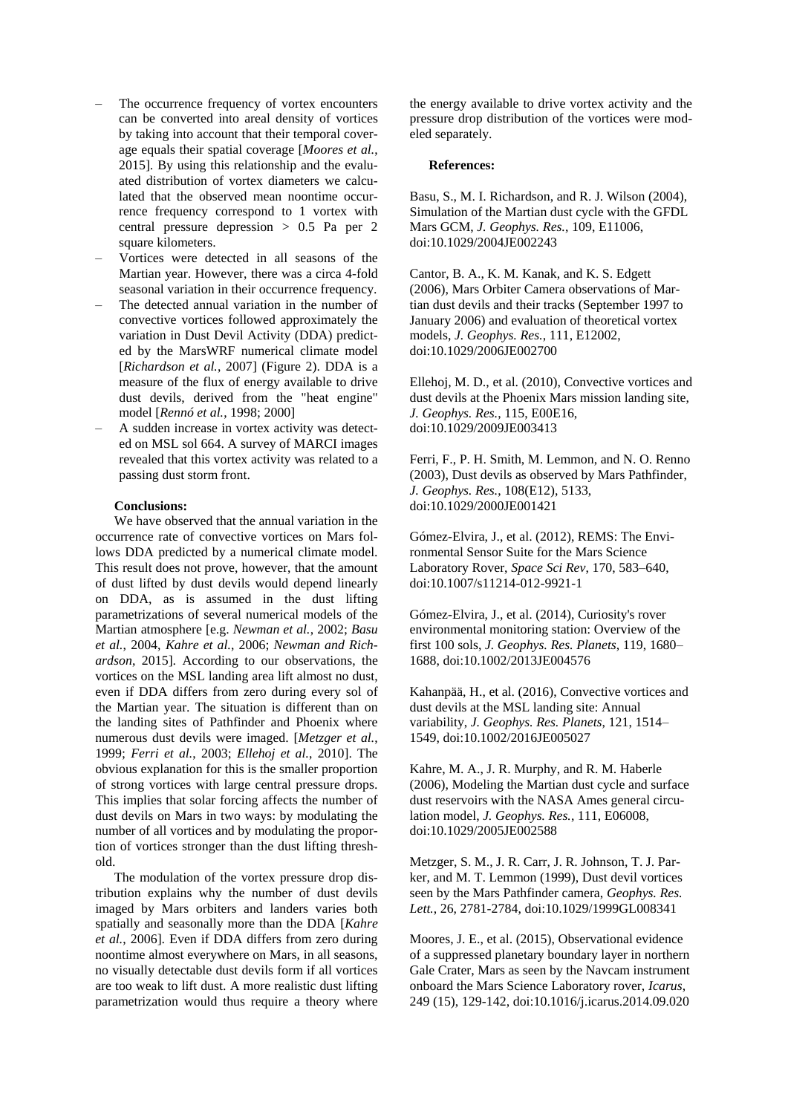- The occurrence frequency of vortex encounters can be converted into areal density of vortices by taking into account that their temporal coverage equals their spatial coverage [*Moores et al.*, 2015]. By using this relationship and the evaluated distribution of vortex diameters we calculated that the observed mean noontime occurrence frequency correspond to 1 vortex with central pressure depression > 0.5 Pa per 2 square kilometers.
- ‒ Vortices were detected in all seasons of the Martian year. However, there was a circa 4-fold seasonal variation in their occurrence frequency.
- The detected annual variation in the number of convective vortices followed approximately the variation in Dust Devil Activity (DDA) predicted by the MarsWRF numerical climate model [*Richardson et al.*, 2007] (Figure 2). DDA is a measure of the flux of energy available to drive dust devils, derived from the "heat engine" model [*Rennó et al.*, 1998; 2000]
- ‒ A sudden increase in vortex activity was detected on MSL sol 664. A survey of MARCI images revealed that this vortex activity was related to a passing dust storm front.

## **Conclusions:**

We have observed that the annual variation in the occurrence rate of convective vortices on Mars follows DDA predicted by a numerical climate model. This result does not prove, however, that the amount of dust lifted by dust devils would depend linearly on DDA, as is assumed in the dust lifting parametrizations of several numerical models of the Martian atmosphere [e.g. *Newman et al.*, 2002; *Basu et al.*, 2004, *Kahre et al.*, 2006; *Newman and Richardson*, 2015]. According to our observations, the vortices on the MSL landing area lift almost no dust, even if DDA differs from zero during every sol of the Martian year. The situation is different than on the landing sites of Pathfinder and Phoenix where numerous dust devils were imaged. [*Metzger et al.*, 1999; *Ferri et al.*, 2003; *Ellehoj et al.*, 2010]. The obvious explanation for this is the smaller proportion of strong vortices with large central pressure drops. This implies that solar forcing affects the number of dust devils on Mars in two ways: by modulating the number of all vortices and by modulating the proportion of vortices stronger than the dust lifting threshold.

The modulation of the vortex pressure drop distribution explains why the number of dust devils imaged by Mars orbiters and landers varies both spatially and seasonally more than the DDA [*Kahre et al.*, 2006]. Even if DDA differs from zero during noontime almost everywhere on Mars, in all seasons, no visually detectable dust devils form if all vortices are too weak to lift dust. A more realistic dust lifting parametrization would thus require a theory where

the energy available to drive vortex activity and the pressure drop distribution of the vortices were modeled separately.

# **References:**

Basu, S., M. I. Richardson, and R. J. Wilson (2004), Simulation of the Martian dust cycle with the GFDL Mars GCM, *J. Geophys. Res.*, 109, E11006, doi:10.1029/2004JE002243

Cantor, B. A., K. M. Kanak, and K. S. Edgett (2006), Mars Orbiter Camera observations of Martian dust devils and their tracks (September 1997 to January 2006) and evaluation of theoretical vortex models, *J. Geophys. Res.*, 111, E12002, doi:10.1029/2006JE002700

Ellehoj, M. D., et al. (2010), Convective vortices and dust devils at the Phoenix Mars mission landing site, *J. Geophys. Res.*, 115, E00E16, doi:10.1029/2009JE003413

Ferri, F., P. H. Smith, M. Lemmon, and N. O. Renno (2003), Dust devils as observed by Mars Pathfinder, *J. Geophys. Res.*, 108(E12), 5133, doi:10.1029/2000JE001421

Gómez-Elvira, J., et al. (2012), REMS: The Environmental Sensor Suite for the Mars Science Laboratory Rover, *Space Sci Rev*, 170, 583–640, doi:10.1007/s11214-012-9921-1

Gómez-Elvira, J., et al. (2014), Curiosity's rover environmental monitoring station: Overview of the first 100 sols, *J. Geophys. Res. Planets*, 119, 1680– 1688, doi:10.1002/2013JE004576

Kahanpää, H., et al. (2016), Convective vortices and dust devils at the MSL landing site: Annual variability, *J. Geophys. Res. Planets*, 121, 1514– 1549, doi:10.1002/2016JE005027

Kahre, M. A., J. R. Murphy, and R. M. Haberle (2006), Modeling the Martian dust cycle and surface dust reservoirs with the NASA Ames general circulation model, *J. Geophys. Res.*, 111, E06008, doi:10.1029/2005JE002588

Metzger, S. M., J. R. Carr, J. R. Johnson, T. J. Parker, and M. T. Lemmon (1999), Dust devil vortices seen by the Mars Pathfinder camera, *Geophys. Res. Lett.*, 26, 2781-2784, doi:10.1029/1999GL008341

Moores, J. E., et al. (2015), Observational evidence of a suppressed planetary boundary layer in northern Gale Crater, Mars as seen by the Navcam instrument onboard the Mars Science Laboratory rover, *Icarus*, 249 (15), 129-142, doi:10.1016/j.icarus.2014.09.020